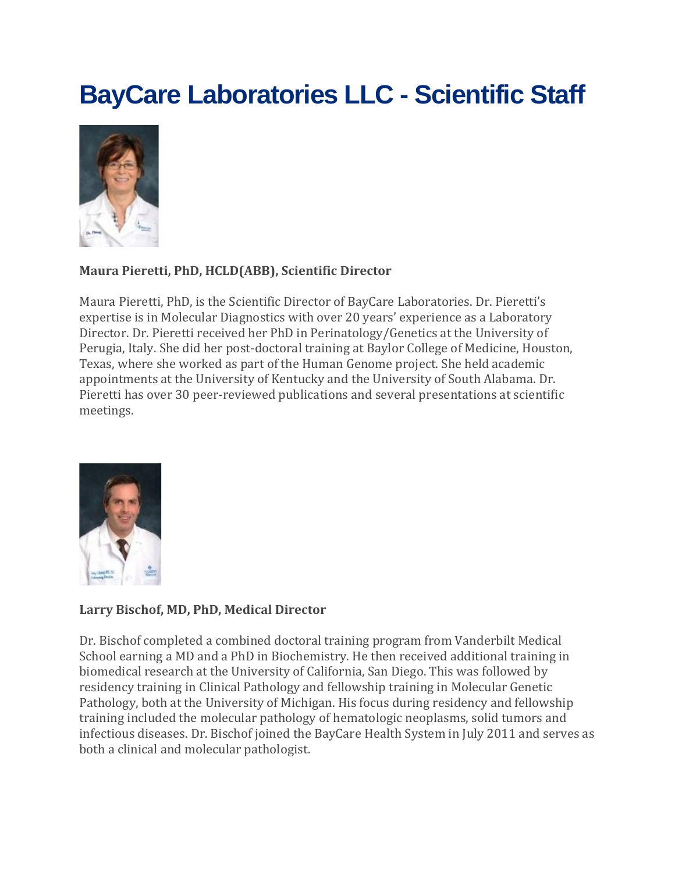# **BayCare Laboratories LLC - Scientific Staff**



## **Maura Pieretti, PhD, HCLD(ABB), Scientific Director**

Maura Pieretti, PhD, is the Scientific Director of BayCare Laboratories. Dr. Pieretti's expertise is in Molecular Diagnostics with over 20 years' experience as a Laboratory Director. Dr. Pieretti received her PhD in Perinatology/Genetics at the University of Perugia, Italy. She did her post-doctoral training at Baylor College of Medicine, Houston, Texas, where she worked as part of the Human Genome project. She held academic appointments at the University of Kentucky and the University of South Alabama. Dr. Pieretti has over 30 peer-reviewed publications and several presentations at scientific meetings.



## **Larry Bischof, MD, PhD, Medical Director**

Dr. Bischof completed a combined doctoral training program from Vanderbilt Medical School earning a MD and a PhD in Biochemistry. He then received additional training in biomedical research at the University of California, San Diego. This was followed by residency training in Clinical Pathology and fellowship training in Molecular Genetic Pathology, both at the University of Michigan. His focus during residency and fellowship training included the molecular pathology of hematologic neoplasms, solid tumors and infectious diseases. Dr. Bischof joined the BayCare Health System in July 2011 and serves as both a clinical and molecular pathologist.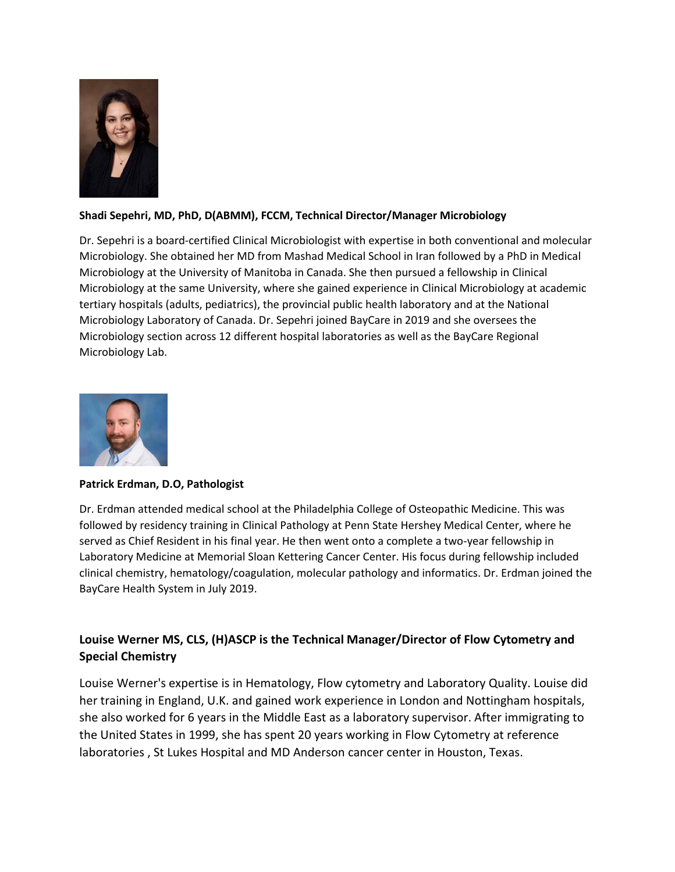

### **Shadi Sepehri, MD, PhD, D(ABMM), FCCM, Technical Director/Manager Microbiology**

Dr. Sepehri is a board-certified Clinical Microbiologist with expertise in both conventional and molecular Microbiology. She obtained her MD from Mashad Medical School in Iran followed by a PhD in Medical Microbiology at the University of Manitoba in Canada. She then pursued a fellowship in Clinical Microbiology at the same University, where she gained experience in Clinical Microbiology at academic tertiary hospitals (adults, pediatrics), the provincial public health laboratory and at the National Microbiology Laboratory of Canada. Dr. Sepehri joined BayCare in 2019 and she oversees the Microbiology section across 12 different hospital laboratories as well as the BayCare Regional Microbiology Lab.



#### **Patrick Erdman, D.O, Pathologist**

Dr. Erdman attended medical school at the Philadelphia College of Osteopathic Medicine. This was followed by residency training in Clinical Pathology at Penn State Hershey Medical Center, where he served as Chief Resident in his final year. He then went onto a complete a two-year fellowship in Laboratory Medicine at Memorial Sloan Kettering Cancer Center. His focus during fellowship included clinical chemistry, hematology/coagulation, molecular pathology and informatics. Dr. Erdman joined the BayCare Health System in July 2019.

## **Louise Werner MS, CLS, (H)ASCP is the Technical Manager/Director of Flow Cytometry and Special Chemistry**

Louise Werner's expertise is in Hematology, Flow cytometry and Laboratory Quality. Louise did her training in England, U.K. and gained work experience in London and Nottingham hospitals, she also worked for 6 years in the Middle East as a laboratory supervisor. After immigrating to the United States in 1999, she has spent 20 years working in Flow Cytometry at reference laboratories , St Lukes Hospital and MD Anderson cancer center in Houston, Texas.